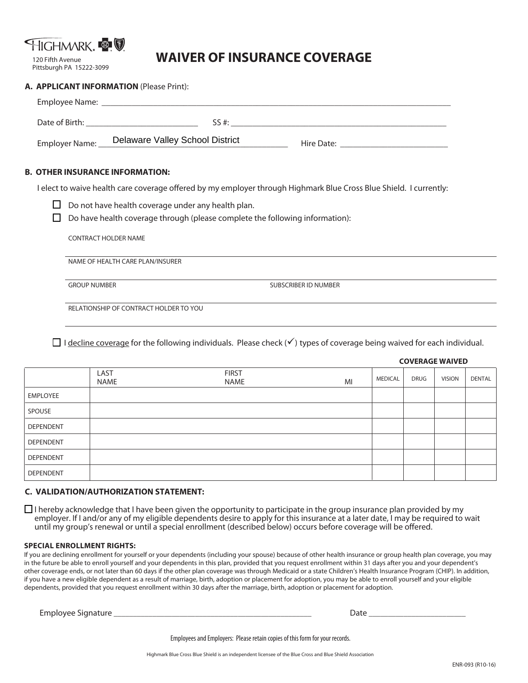

#### 120 Fifth Avenue Pittsburgh PA 15222-3099

# **WAIVER OF INSURANCE COVERAGE**

| A. APPLICANT INFORMATION (Please Print): |                                                |                                        |  |  |  |  |  |  |
|------------------------------------------|------------------------------------------------|----------------------------------------|--|--|--|--|--|--|
|                                          |                                                |                                        |  |  |  |  |  |  |
|                                          |                                                |                                        |  |  |  |  |  |  |
|                                          |                                                | SS #:                                  |  |  |  |  |  |  |
|                                          | Employer Name: Delaware Valley School District | Hire Date: <u>____________________</u> |  |  |  |  |  |  |

## **B. OTHER INSURANCE INFORMATION:**

I elect to waive health care coverage offered by my employer through Highmark Blue Cross Blue Shield. I currently:

 $\Box$  Do not have health coverage under any health plan.

 $\Box$  Do have health coverage through (please complete the following information):

CONTRACT HOLDER NAME

NAME OF HEALTH CARE PLAN/INSURER

GROUP NUMBER SUBSCRIBER ID NUMBER

RELATIONSHIP OF CONTRACT HOLDER TO YOU

 $\Box$  I decline coverage for the following individuals. Please check ( $\checkmark$ ) types of coverage being waived for each individual.

|                  |                     |                             |    | <b>COVERADE WAIVED</b> |             |               |               |  |
|------------------|---------------------|-----------------------------|----|------------------------|-------------|---------------|---------------|--|
|                  | LAST<br><b>NAME</b> | <b>FIRST</b><br><b>NAME</b> | MI | <b>MEDICAL</b>         | <b>DRUG</b> | <b>VISION</b> | <b>DENTAL</b> |  |
| EMPLOYEE         |                     |                             |    |                        |             |               |               |  |
| SPOUSE           |                     |                             |    |                        |             |               |               |  |
| <b>DEPENDENT</b> |                     |                             |    |                        |             |               |               |  |
| <b>DEPENDENT</b> |                     |                             |    |                        |             |               |               |  |
| <b>DEPENDENT</b> |                     |                             |    |                        |             |               |               |  |
| <b>DEPENDENT</b> |                     |                             |    |                        |             |               |               |  |

## **C. VALIDATION/AUTHORIZATION STATEMENT:**

 $\Box$  I hereby acknowledge that I have been given the opportunity to participate in the group insurance plan provided by my employer. If I and/or any of my eligible dependents desire to apply for this insurance at a later date, I may be required to wait until my group's renewal or until a special enrollment (described below) occurs before coverage will be offered.

### **SPECIAL ENROLLMENT RIGHTS:**

If you are declining enrollment for yourself or your dependents (including your spouse) because of other health insurance or group health plan coverage, you may in the future be able to enroll yourself and your dependents in this plan, provided that you request enrollment within 31 days after you and your dependent's other coverage ends, or not later than 60 days if the other plan coverage was through Medicaid or a state Children's Health Insurance Program (CHIP). In addition, if you have a new eligible dependent as a result of marriage, birth, adoption or placement for adoption, you may be able to enroll yourself and your eligible dependents, provided that you request enrollment within 30 days after the marriage, birth, adoption or placement for adoption.

Employee Signature \_\_\_\_\_\_\_\_\_\_\_\_\_\_\_\_\_\_\_\_\_\_\_\_\_\_\_\_\_\_\_\_\_\_\_\_\_\_\_\_\_\_\_\_\_\_\_\_\_\_\_ Date \_\_\_\_\_\_\_\_\_\_\_\_\_\_\_\_\_\_\_\_\_\_\_\_\_

Employees and Employers: Please retain copies of this form for your records.

**COVERAGE WAIVED**